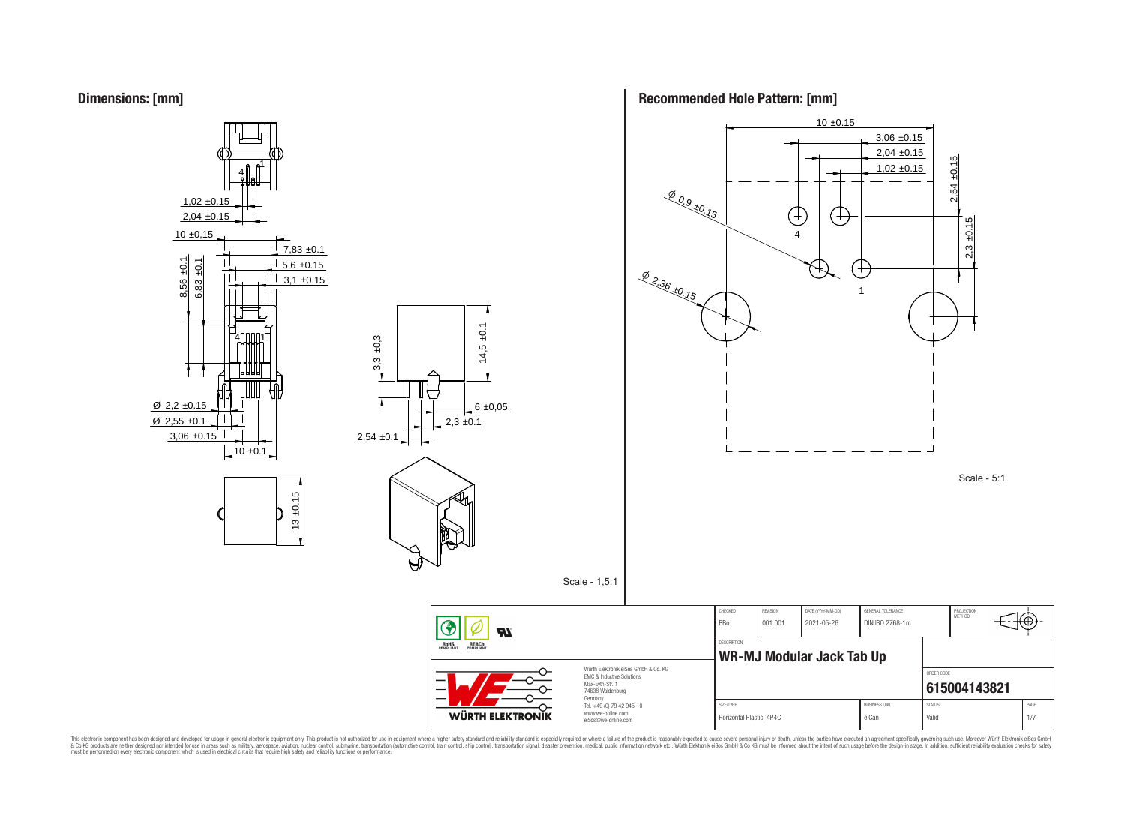



**Recommended Hole Pattern: [mm]**



This electronic component has been designed and developed for usage in general electronic equipment only. This product is not authorized for subserved requipment where a higher selection equipment where a higher selection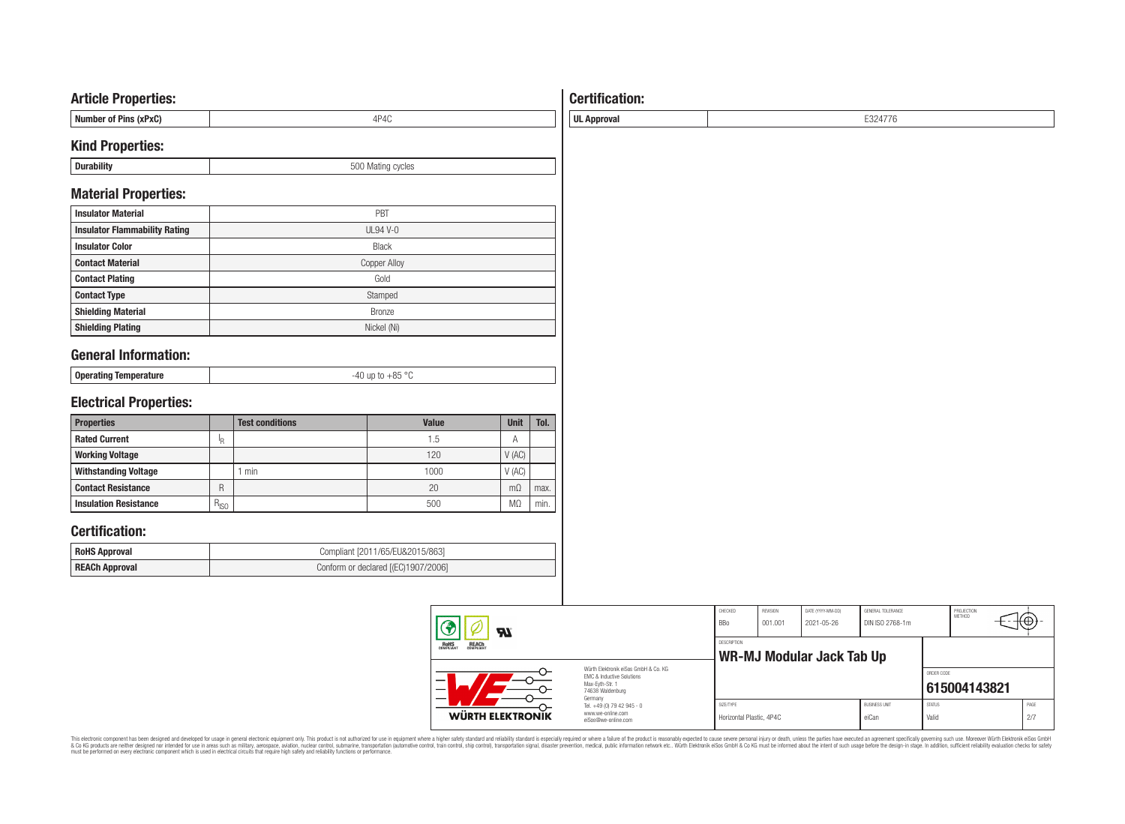### **Article Properties:**

| I Number of Pins (xPxC) |  |
|-------------------------|--|
|                         |  |

### **Kind Properties:**

| - | <br>$   -$ |
|---|------------|
|   |            |

### **Material Properties:**

| <b>Insulator Material</b>            | PBT                 |
|--------------------------------------|---------------------|
| <b>Insulator Flammability Rating</b> | $UL94$ V-0          |
| <b>Insulator Color</b>               | <b>Black</b>        |
| <b>Contact Material</b>              | <b>Copper Alloy</b> |
| <b>Contact Plating</b>               | Gold                |
| <b>Contact Type</b>                  | Stamped             |
| <b>Shielding Material</b>            | <b>Bronze</b>       |
| <b>Shielding Plating</b>             | Nickel (Ni)         |

# **General Information:**

| Operating Temr<br>91 A I I I I I I | . |
|------------------------------------|---|
|                                    |   |

# **Electrical Properties:**

| <b>Properties</b>            |               | <b>Test conditions</b> | Value | Unit           | Tol. |
|------------------------------|---------------|------------------------|-------|----------------|------|
| <b>Rated Current</b>         | םו            |                        | 1.5   | A              |      |
| <b>Working Voltage</b>       |               |                        | 120   | V(AC)          |      |
| <b>Withstanding Voltage</b>  |               | min                    | 1000  | V(AC)          |      |
| <b>Contact Resistance</b>    | R             |                        | 20    | $m\Omega$      | max. |
| <b>Insulation Resistance</b> | $R_{\mid SO}$ |                        | 500   | M <sub>2</sub> | min. |

## **Certification:**

| <b>RoHS Approval</b>  | Compliant [2011/65/EU&2015/863]     |
|-----------------------|-------------------------------------|
| <b>REACh Approval</b> | Conform or declared [(EC)1907/2006] |

| Яï                                             |                                                                                                          | CHECKED<br><b>BBo</b> | REVISION<br>001.001                                    | DATE (YYYY-MM-DD)<br>2021-05-26 | GENERAL TOLERANCE<br>DIN ISO 2768-1m |                        | PROJECTION<br><b>METHOD</b> |             |
|------------------------------------------------|----------------------------------------------------------------------------------------------------------|-----------------------|--------------------------------------------------------|---------------------------------|--------------------------------------|------------------------|-----------------------------|-------------|
| ROHS<br>COMPLIANT<br><b>REACH</b><br>COMPLIANT |                                                                                                          |                       | <b>DESCRIPTION</b><br><b>WR-MJ Modular Jack Tab Up</b> |                                 |                                      |                        |                             |             |
|                                                | Würth Elektronik eiSos GmbH & Co. KG<br>EMC & Inductive Solutions<br>Max-Eyth-Str. 1<br>74638 Waldenburg |                       |                                                        |                                 |                                      | ORDER CODE             | 615004143821                |             |
| WÜRTH ELEKTRONIK                               | Germany<br>Tel. +49 (0) 79 42 945 - 0<br>www.we-online.com<br>eiSos@we-online.com                        |                       | Horizontal Plastic, 4P4C                               |                                 | <b>BUSINESS UNIT</b><br>eiCan        | <b>STATUS</b><br>Valid |                             | PAGE<br>2/7 |

This electronic component has been designed and developed for usage in general electronic equipment only. This product is not authorized for subserved requipment where a higher selection equipment where a higher selection

# **Certification:**

**UL Approval** E324776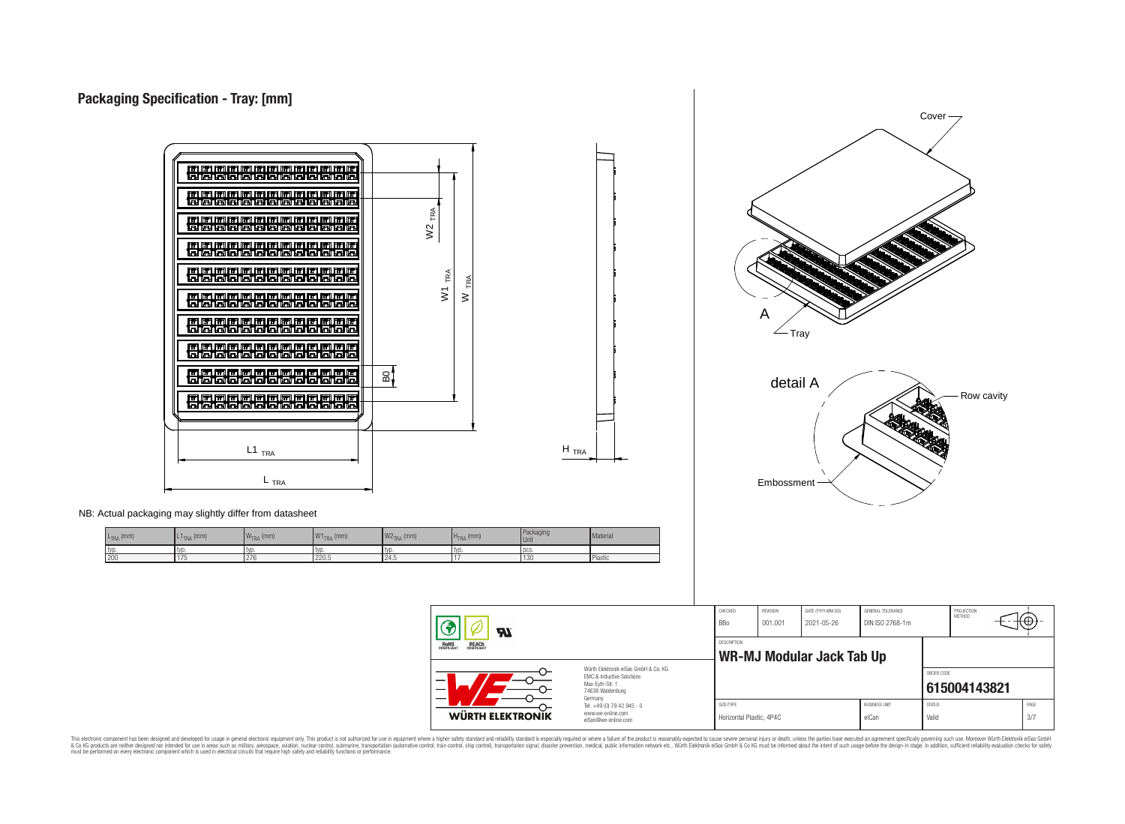



Horizontal Plastic, 4P4C eiCan Valid 3/7

NB: Actual packaging may slightly differ from datasheet

| $L_{\text{TRA}}$ (mm) | $L1$ <sub>TRA</sub> (mm) | $\overline{M}$<br>$\mathsf{I}\mathsf{W}_{\mathsf{TRA}}$ (mm) | 1111<br>$W1$ <sub>TRA</sub> (mm) | $W2_{TRA}$ (mm) | $H_{\text{TRA}}$ (mm) | Packaging<br>Unit | Material       |
|-----------------------|--------------------------|--------------------------------------------------------------|----------------------------------|-----------------|-----------------------|-------------------|----------------|
| I typ.                | tvo                      | tvo                                                          | I TVD                            | typ             | tvd                   | DCS.              |                |
| 200                   | $\overline{ }$<br>1 I J  | 276                                                          | 220.5                            | 24.5            |                       | 1130              | <b>Plastic</b> |

eiSos@we-online.com This electronic component has been designed and developed for usage in general electronic equipment only. This product is not authorized for use in equipment where a higher safely standard and reliability standard si espec & Ook product a label and the membed of the seasuch as marked and as which such a membed and the such assume that income in the seasuch and the simulation and the such assume that include to the such a membed and the such

**LP** 

**WÜRTH ELEKTRONIK** 

RoHS

REACh

Würth Elektronik eiSos GmbH & Co. KG EMC & Inductive Solutions Max-Eyth-Str. 1 74638 Waldenburg Germany Tel. +49 (0) 79 42 945 - 0 www.we-online.com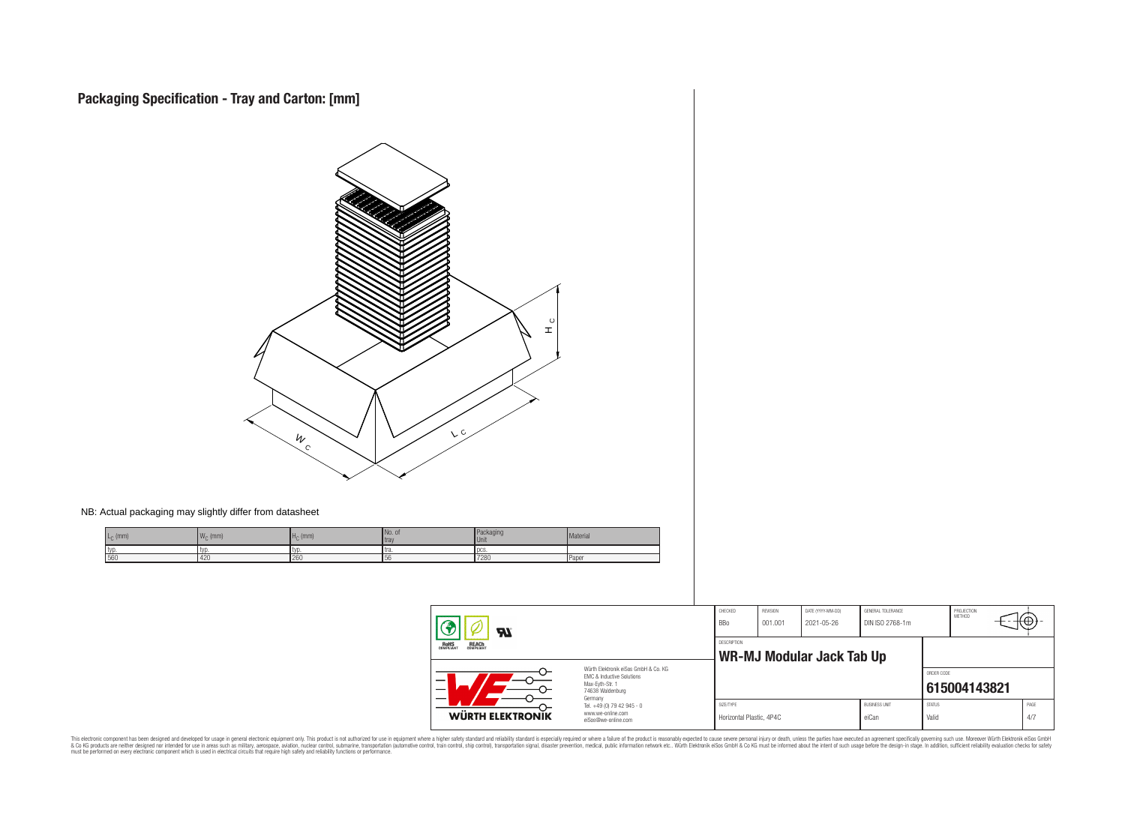

NB: Actual packaging may slightly differ from datasheet

| $Lc$ (mm) | M<br>$\cdot$ (mm)<br><b>VVC</b> | 、(mm)  | INo. of<br>I tra | aunayiii<br>l Unit | Material |
|-----------|---------------------------------|--------|------------------|--------------------|----------|
| I typ     |                                 | ' IVI. | l tra            | 1 UUS              |          |
| 56        | 420                             | 260    | эc               | 7280               | Paper    |

| $\boldsymbol{H}$                                                                                                                                                       |                                                                                   | CHECKED<br><b>BBo</b>                           | REVISION<br>001.001 | DATE (YYYY-MM-DD)<br>2021-05-26 | GENERAL TOLERANCE<br>DIN ISO 2768-1m |                        | PROJECTION<br><b>METHOD</b> | tΦ          |
|------------------------------------------------------------------------------------------------------------------------------------------------------------------------|-----------------------------------------------------------------------------------|-------------------------------------------------|---------------------|---------------------------------|--------------------------------------|------------------------|-----------------------------|-------------|
| <b>ROHS</b><br>COMPLIANT<br><b>REACH</b><br>COMPLIANT<br>Würth Flektronik eiSos GmbH & Co. KG<br>EMC & Inductive Solutions<br>—<br>Max-Eyth-Str. 1<br>74638 Waldenburg |                                                                                   | <b>DESCRIPTION</b><br>WR-MJ Modular Jack Tab Up |                     |                                 |                                      |                        |                             |             |
|                                                                                                                                                                        |                                                                                   |                                                 |                     |                                 |                                      | ORDER CODE             | 615004143821                |             |
| WÜRTH ELEKTRONIK                                                                                                                                                       | Germany<br>Tel. +49 (0) 79 42 945 - 0<br>www.we-online.com<br>eiSos@we-online.com | SIZE/TYPE<br>Horizontal Plastic, 4P4C           |                     |                                 | <b>BUSINESS UNIT</b><br>eiCan        | <b>STATUS</b><br>Valid |                             | PAGE<br>4/7 |

This electronic component has been designed and developed for usage in general electronic equipment only. This product is not authorized for subserved requipment where a higher selection equipment where a higher selection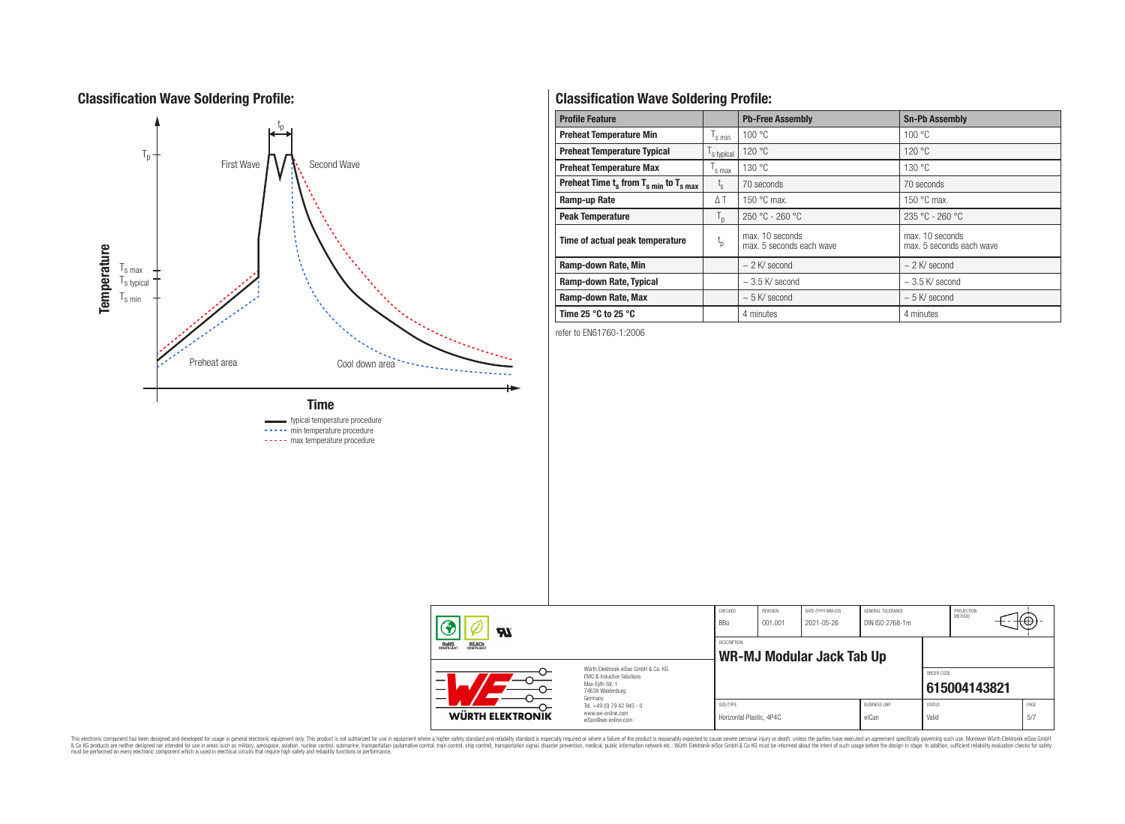## **Classification Wave Soldering Profile:**



# **Classification Wave Soldering Profile:**

| <b>Profile Feature</b>                                               |                                         | <b>Pb-Free Assembly</b>                     | <b>Sn-Pb Assembly</b>                       |  |
|----------------------------------------------------------------------|-----------------------------------------|---------------------------------------------|---------------------------------------------|--|
| <b>Preheat Temperature Min</b>                                       | $\mathsf{I}_{\mathrm{s}\,\textsf{min}}$ | 100 °C                                      | 100 °C                                      |  |
| <b>Preheat Temperature Typical</b>                                   | s typical                               | 120 °C                                      | 120 °C                                      |  |
| <b>Preheat Temperature Max</b>                                       | s max                                   | 130 °C<br>130 °C                            |                                             |  |
| Preheat Time $t_s$ from $T_s$ <sub>min</sub> to $T_s$ <sub>max</sub> | $t_{\rm s}$                             | 70 seconds                                  | 70 seconds                                  |  |
| Ramp-up Rate                                                         | ΔΤ                                      | 150 $\degree$ C max.                        | 150 $\degree$ C max.                        |  |
| <b>Peak Temperature</b>                                              | $T_{\mathsf{D}}$                        | $250 °C - 260 °C$                           | $235 °C - 260 °C$                           |  |
| Time of actual peak temperature                                      | $t_{p}$                                 | max. 10 seconds<br>max. 5 seconds each wave | max. 10 seconds<br>max. 5 seconds each wave |  |
| Ramp-down Rate, Min                                                  |                                         | $\sim$ 2 K/ second                          | $\sim$ 2 K/ second                          |  |
| Ramp-down Rate, Typical                                              |                                         | $\sim$ 3.5 K/ second                        | $\sim$ 3.5 K/ second                        |  |
| Ramp-down Rate, Max                                                  |                                         | $\sim$ 5 K/ second                          | $\sim$ 5 K/ second                          |  |
| Time 25 $^{\circ}$ C to 25 $^{\circ}$ C                              |                                         | 4 minutes                                   | 4 minutes                                   |  |

refer to EN61760-1:2006

| Яľ                                             |                                                                                                                     | CHECKED<br><b>BBo</b>                    | REVISION<br>001.001 | DATE (YYYY-MM-DD)<br>2021-05-26 | GENERAL TOLERANCE<br>DIN ISO 2768-1m |                        | PROJECTION<br><b>METHOD</b> |              |
|------------------------------------------------|---------------------------------------------------------------------------------------------------------------------|------------------------------------------|---------------------|---------------------------------|--------------------------------------|------------------------|-----------------------------|--------------|
| ROHS<br>COMPLIANT<br><b>REACH</b><br>COMPLIANT |                                                                                                                     | DESCRIPTION<br>WR-MJ Modular Jack Tab Up |                     |                                 |                                      |                        |                             |              |
|                                                | Würth Flektronik eiSos GmbH & Co. KG<br>FMC & Inductive Solutions<br>Max-Eyth-Str. 1<br>74638 Waldenburg<br>Germany |                                          |                     |                                 |                                      | ORDER CODE             | 615004143821                |              |
| <b>WÜRTH ELEKTRONIK</b>                        | Tel. +49 (0) 79 42 945 - 0<br>www.we-online.com<br>eiSos@we-online.com                                              | SIZE/TYPE<br>Horizontal Plastic, 4P4C    |                     |                                 | <b>BUSINESS UNIT</b><br>eiCan        | <b>STATUS</b><br>Valid |                             | PAGE<br>-5/7 |

This electronic component has been designed and developed for usage in general electronic equipment only. This product is not authorized for subserved requipment where a higher selection equipment where a higher selection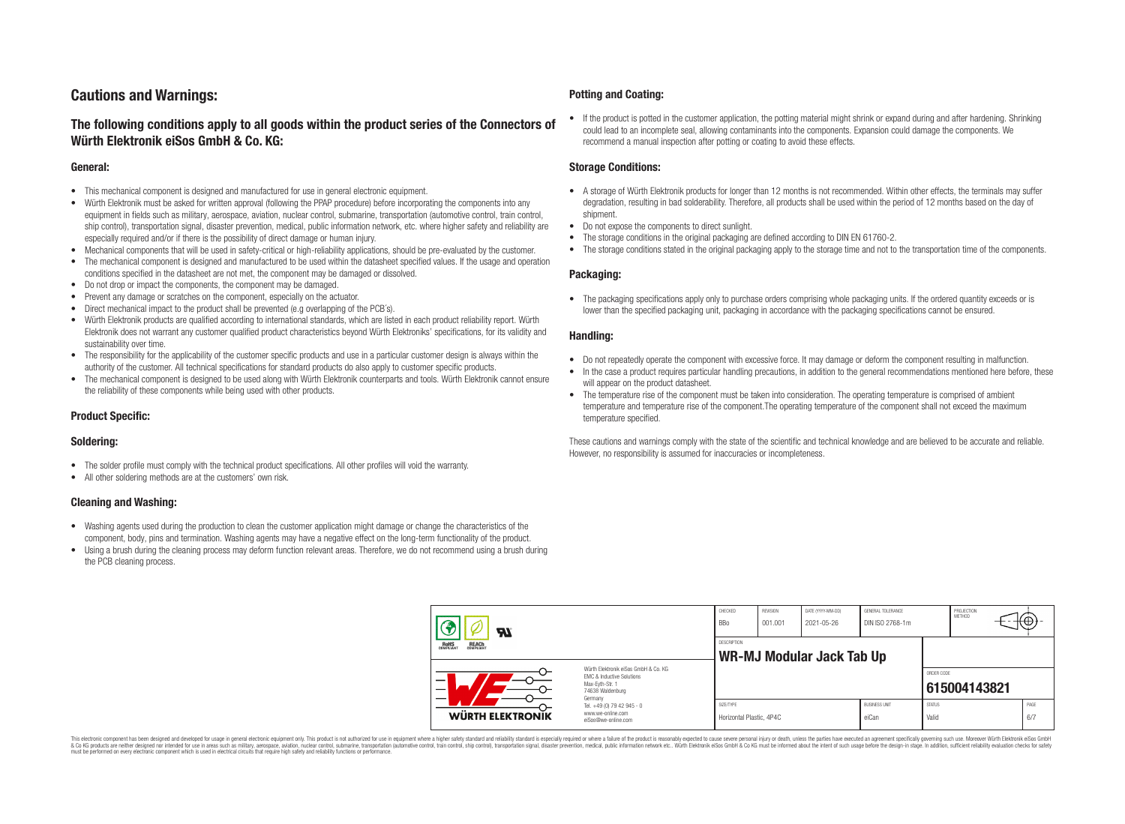## **Cautions and Warnings:**

### **The following conditions apply to all goods within the product series of the Connectors of Würth Elektronik eiSos GmbH & Co. KG:**

#### **General:**

- This mechanical component is designed and manufactured for use in general electronic equipment.
- Würth Elektronik must be asked for written approval (following the PPAP procedure) before incorporating the components into any equipment in fields such as military, aerospace, aviation, nuclear control, submarine, transportation (automotive control, train control, ship control), transportation signal, disaster prevention, medical, public information network, etc. where higher safety and reliability are especially required and/or if there is the possibility of direct damage or human injury.
- Mechanical components that will be used in safety-critical or high-reliability applications, should be pre-evaluated by the customer.
- The mechanical component is designed and manufactured to be used within the datasheet specified values. If the usage and operation conditions specified in the datasheet are not met, the component may be damaged or dissolved.
- Do not drop or impact the components, the component may be damaged.
- Prevent any damage or scratches on the component, especially on the actuator.
- Direct mechanical impact to the product shall be prevented (e.g overlapping of the PCB's).
- Würth Elektronik products are qualified according to international standards, which are listed in each product reliability report. Würth Elektronik does not warrant any customer qualified product characteristics beyond Würth Elektroniks' specifications, for its validity and sustainability over time.
- The responsibility for the applicability of the customer specific products and use in a particular customer design is always within the authority of the customer. All technical specifications for standard products do also apply to customer specific products.
- The mechanical component is designed to be used along with Würth Elektronik counterparts and tools. Würth Elektronik cannot ensure the reliability of these components while being used with other products.

### **Product Specific:**

#### **Soldering:**

- The solder profile must comply with the technical product specifications. All other profiles will void the warranty.
- All other soldering methods are at the customers' own risk.

#### **Cleaning and Washing:**

- Washing agents used during the production to clean the customer application might damage or change the characteristics of the component, body, pins and termination. Washing agents may have a negative effect on the long-term functionality of the product.
- Using a brush during the cleaning process may deform function relevant areas. Therefore, we do not recommend using a brush during the PCB cleaning process.

#### **Potting and Coating:**

• If the product is potted in the customer application, the potting material might shrink or expand during and after hardening. Shrinking could lead to an incomplete seal, allowing contaminants into the components. Expansion could damage the components. We recommend a manual inspection after potting or coating to avoid these effects.

#### **Storage Conditions:**

- A storage of Würth Elektronik products for longer than 12 months is not recommended. Within other effects, the terminals may suffer degradation, resulting in bad solderability. Therefore, all products shall be used within the period of 12 months based on the day of shipment.
- Do not expose the components to direct sunlight.
- The storage conditions in the original packaging are defined according to DIN EN 61760-2.
- The storage conditions stated in the original packaging apply to the storage time and not to the transportation time of the components.

#### **Packaging:**

• The packaging specifications apply only to purchase orders comprising whole packaging units. If the ordered quantity exceeds or is lower than the specified packaging unit, packaging in accordance with the packaging specifications cannot be ensured.

#### **Handling:**

- Do not repeatedly operate the component with excessive force. It may damage or deform the component resulting in malfunction.
- In the case a product requires particular handling precautions, in addition to the general recommendations mentioned here before, these will appear on the product datasheet
- The temperature rise of the component must be taken into consideration. The operating temperature is comprised of ambient temperature and temperature rise of the component.The operating temperature of the component shall not exceed the maximum temperature specified.

These cautions and warnings comply with the state of the scientific and technical knowledge and are believed to be accurate and reliable. However, no responsibility is assumed for inaccuracies or incompleteness.

| $\boldsymbol{H}$<br>ROHS<br>COMPLIANT<br><b>REACH</b><br>COMPLIANT |                                                                                                                                                                                               | CHECKED<br><b>BBo</b>                                  | REVISION<br>001.001 | DATE (YYYY-MM-DD)<br>2021-05-26 | GENERAL TOLERANCE<br>DIN ISO 2768-1m |                            | PROJECTION<br>METHOD |  | ι₩          |
|--------------------------------------------------------------------|-----------------------------------------------------------------------------------------------------------------------------------------------------------------------------------------------|--------------------------------------------------------|---------------------|---------------------------------|--------------------------------------|----------------------------|----------------------|--|-------------|
|                                                                    |                                                                                                                                                                                               | <b>DESCRIPTION</b><br><b>WR-MJ Modular Jack Tab Up</b> |                     |                                 |                                      |                            |                      |  |             |
| $\overline{\phantom{0}}$                                           | Würth Elektronik eiSos GmbH & Co. KG<br>EMC & Inductive Solutions<br>Max-Eyth-Str. 1<br>74638 Waldenburg<br>Germany<br>Tel. +49 (0) 79 42 945 - 0<br>www.we-online.com<br>eiSos@we-online.com |                                                        |                     |                                 |                                      | ORDER CODE<br>615004143821 |                      |  |             |
| <b>WÜRTH ELEKTRONIK</b>                                            |                                                                                                                                                                                               | SIZE/TYPE<br>Horizontal Plastic, 4P4C                  |                     |                                 | <b>BUSINESS UNIT</b><br>eiCan        | <b>STATUS</b><br>Valid     |                      |  | PAGE<br>6/7 |

This electronic component has been designed and developed for usage in general electronic equipment only. This product is not authorized for use in equipment where a higher safety standard and reliability standard si espec & Ook product a label and the membed of the seasuch as marked and as which such a membed and the such assume that income in the seasuch and the simulation and the such assume that include to the such a membed and the such